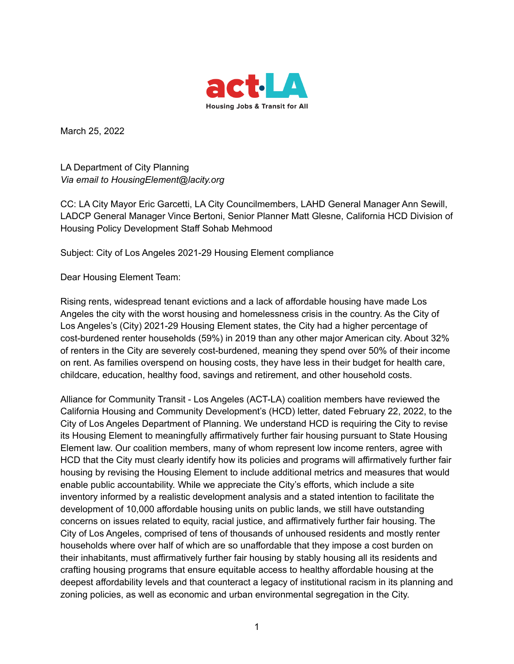

March 25, 2022

LA Department of City Planning *Via email to HousingElement@lacity.org*

CC: LA City Mayor Eric Garcetti, LA City Councilmembers, LAHD General Manager Ann Sewill, LADCP General Manager Vince Bertoni, Senior Planner Matt Glesne, California HCD Division of Housing Policy Development Staff Sohab Mehmood

Subject: City of Los Angeles 2021-29 Housing Element compliance

Dear Housing Element Team:

Rising rents, widespread tenant evictions and a lack of affordable housing have made Los Angeles the city with the worst housing and homelessness crisis in the country. As the City of Los Angeles's (City) 2021-29 Housing Element states, the City had a higher percentage of cost-burdened renter households (59%) in 2019 than any other major American city. About 32% of renters in the City are severely cost-burdened, meaning they spend over 50% of their income on rent. As families overspend on housing costs, they have less in their budget for health care, childcare, education, healthy food, savings and retirement, and other household costs.

Alliance for Community Transit - Los Angeles (ACT-LA) coalition members have reviewed the California Housing and Community Development's (HCD) letter, dated February 22, 2022, to the City of Los Angeles Department of Planning. We understand HCD is requiring the City to revise its Housing Element to meaningfully affirmatively further fair housing pursuant to State Housing Element law. Our coalition members, many of whom represent low income renters, agree with HCD that the City must clearly identify how its policies and programs will affirmatively further fair housing by revising the Housing Element to include additional metrics and measures that would enable public accountability. While we appreciate the City's efforts, which include a site inventory informed by a realistic development analysis and a stated intention to facilitate the development of 10,000 affordable housing units on public lands, we still have outstanding concerns on issues related to equity, racial justice, and affirmatively further fair housing. The City of Los Angeles, comprised of tens of thousands of unhoused residents and mostly renter households where over half of which are so unaffordable that they impose a cost burden on their inhabitants, must affirmatively further fair housing by stably housing all its residents and crafting housing programs that ensure equitable access to healthy affordable housing at the deepest affordability levels and that counteract a legacy of institutional racism in its planning and zoning policies, as well as economic and urban environmental segregation in the City.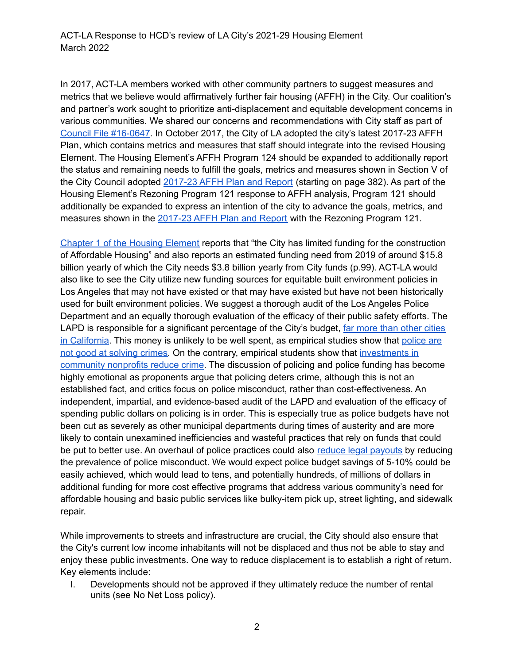In 2017, ACT-LA members worked with other community partners to suggest measures and metrics that we believe would affirmatively further fair housing (AFFH) in the City. Our coalition's and partner's work sought to prioritize anti-displacement and equitable development concerns in various communities. We shared our concerns and recommendations with City staff as part of Council File [#16-0647.](https://cityclerk.lacity.org/lacityclerkconnect/index.cfm?fa=ccfi.viewrecord&cfnumber=16-0647) In October 2017, the City of LA adopted the city's latest 2017-23 AFFH Plan, which contains metrics and measures that staff should integrate into the revised Housing Element. The Housing Element's AFFH Program 124 should be expanded to additionally report the status and remaining needs to fulfill the goals, metrics and measures shown in Section V of the City Council adopted [2017-23](https://clkrep.lacity.org/onlinedocs/2016/16-0647_misc_10-24-2017.pdf) AFFH Plan and Report (starting on page 382). As part of the Housing Element's Rezoning Program 121 response to AFFH analysis, Program 121 should additionally be expanded to express an intention of the city to advance the goals, metrics, and measures shown in the [2017-23](https://clkrep.lacity.org/onlinedocs/2016/16-0647_misc_10-24-2017.pdf) AFFH Plan and Report with the Rezoning Program 121.

Chapter 1 of the [Housing](https://planning.lacity.org/odocument/bde50bc0-5f1f-4e88-a5cf-06a12e1d8078/Chapter_1_-_Housing_Needs_Assessment_(Adopted).pdf) Element reports that "the City has limited funding for the construction of Affordable Housing" and also reports an estimated funding need from 2019 of around \$15.8 billion yearly of which the City needs \$3.8 billion yearly from City funds (p.99). ACT-LA would also like to see the City utilize new funding sources for equitable built environment policies in Los Angeles that may not have existed or that may have existed but have not been historically used for built environment policies. We suggest a thorough audit of the Los Angeles Police Department and an equally thorough evaluation of the efficacy of their public safety efforts. The LAPD is responsible for a significant percentage of the City's budget, far more than [other](https://www.motherjones.com/kevin-drum/2020/06/why-does-la-spend-twice-as-much-on-policing-as-san-diego/) cities in [California](https://www.motherjones.com/kevin-drum/2020/06/why-does-la-spend-twice-as-much-on-policing-as-san-diego/). This money is unlikely to be well spent, as empirical studies show that [police](https://dc.law.utah.edu/cgi/viewcontent.cgi?article=1202&context=scholarship) are not good at [solving](https://dc.law.utah.edu/cgi/viewcontent.cgi?article=1202&context=scholarship) crimes. On the contrary, empirical students show that [investments](https://journals.sagepub.com/doi/10.1177/0003122417736289) in [community](https://journals.sagepub.com/doi/10.1177/0003122417736289) nonprofits reduce crime. The discussion of policing and police funding has become highly emotional as proponents argue that policing deters crime, although this is not an established fact, and critics focus on police misconduct, rather than cost-effectiveness. An independent, impartial, and evidence-based audit of the LAPD and evaluation of the efficacy of spending public dollars on policing is in order. This is especially true as police budgets have not been cut as severely as other municipal departments during times of austerity and are more likely to contain unexamined inefficiencies and wasteful practices that rely on funds that could be put to better use. An overhaul of police practices could also reduce legal [payouts](https://www.latimes.com/local/lanow/la-me-ln-city-payouts-20180627-story.html) by reducing the prevalence of police misconduct. We would expect police budget savings of 5-10% could be easily achieved, which would lead to tens, and potentially hundreds, of millions of dollars in additional funding for more cost effective programs that address various community's need for affordable housing and basic public services like bulky-item pick up, street lighting, and sidewalk repair.

While improvements to streets and infrastructure are crucial, the City should also ensure that the City's current low income inhabitants will not be displaced and thus not be able to stay and enjoy these public investments. One way to reduce displacement is to establish a right of return. Key elements include:

I. Developments should not be approved if they ultimately reduce the number of rental units (see No Net Loss policy).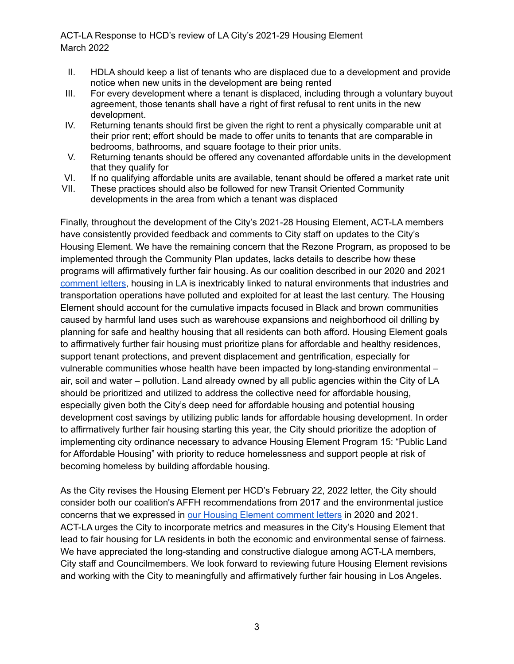ACT-LA Response to HCD's review of LA City's 2021-29 Housing Element March 2022

- II. HDLA should keep a list of tenants who are displaced due to a development and provide notice when new units in the development are being rented
- III. For every development where a tenant is displaced, including through a voluntary buyout agreement, those tenants shall have a right of first refusal to rent units in the new development.
- IV. Returning tenants should first be given the right to rent a physically comparable unit at their prior rent; effort should be made to offer units to tenants that are comparable in bedrooms, bathrooms, and square footage to their prior units.
- V. Returning tenants should be offered any covenanted affordable units in the development that they qualify for
- VI. If no qualifying affordable units are available, tenant should be offered a market rate unit
- VII. These practices should also be followed for new Transit Oriented Community developments in the area from which a tenant was displaced

Finally, throughout the development of the City's 2021-28 Housing Element, ACT-LA members have consistently provided feedback and comments to City staff on updates to the City's Housing Element. We have the remaining concern that the Rezone Program, as proposed to be implemented through the Community Plan updates, lacks details to describe how these programs will affirmatively further fair housing. As our coalition described in our 2020 and 2021 [comment](https://www.act-la.org/la-housing-element/) letters, housing in LA is inextricably linked to natural environments that industries and transportation operations have polluted and exploited for at least the last century. The Housing Element should account for the cumulative impacts focused in Black and brown communities caused by harmful land uses such as warehouse expansions and neighborhood oil drilling by planning for safe and healthy housing that all residents can both afford. Housing Element goals to affirmatively further fair housing must prioritize plans for affordable and healthy residences, support tenant protections, and prevent displacement and gentrification, especially for vulnerable communities whose health have been impacted by long-standing environmental – air, soil and water – pollution. Land already owned by all public agencies within the City of LA should be prioritized and utilized to address the collective need for affordable housing, especially given both the City's deep need for affordable housing and potential housing development cost savings by utilizing public lands for affordable housing development. In order to affirmatively further fair housing starting this year, the City should prioritize the adoption of implementing city ordinance necessary to advance Housing Element Program 15: "Public Land for Affordable Housing" with priority to reduce homelessness and support people at risk of becoming homeless by building affordable housing.

As the City revises the Housing Element per HCD's February 22, 2022 letter, the City should consider both our coalition's AFFH recommendations from 2017 and the environmental justice concerns that we expressed in our Housing Element [comment](https://www.act-la.org/la-housing-element/) letters in 2020 and 2021. ACT-LA urges the City to incorporate metrics and measures in the City's Housing Element that lead to fair housing for LA residents in both the economic and environmental sense of fairness. We have appreciated the long-standing and constructive dialogue among ACT-LA members, City staff and Councilmembers. We look forward to reviewing future Housing Element revisions and working with the City to meaningfully and affirmatively further fair housing in Los Angeles.